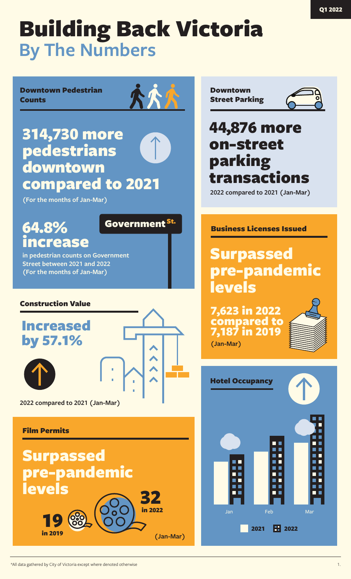Downtown Pedestrian **Counts** 

## 314,730 more pedestrians downtown compared to 2021

**(For the months of Jan-Mar)**

## 64.8% increase

**in pedestrian counts on Government Street between 2021 and 2022 (For the months of Jan-Mar)**

## Construction Value

## Increased by 57.1%



Government <sup>St.</sup>

**2022 compared to 2021 (Jan-Mar)**

## Film Permits



Downtown Street Parking



## 44,876 more on-street parking transactions

**2022 compared to 2021 (Jan-Mar)**

## Business Licenses Issued

## Surpassed pre-pandemic levels

7,623 in 2022 compared to 7,187 in 2019 **(Jan-Mar)**



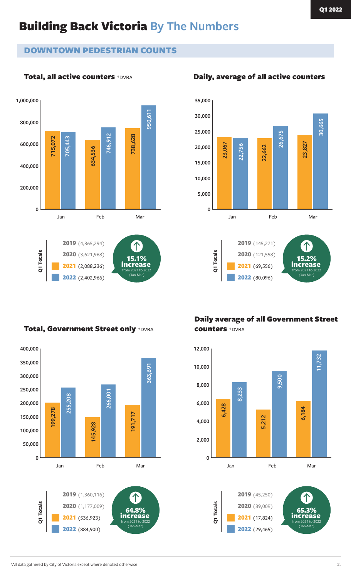## DOWNTOWN PEDESTRIAN COUNTS

## Total, all active counters \*DVBA



### **35,000 30,000 30,665 25,000 26,675 23,067 23,827 22,756 22,662 20,000 15,000 10,000 5,000 0** Jan Feb Mar Jan Feb Mar 2019 (145,271) Q1 Totals 2020 (121,558) increase 2021 (69,556) from 2021 to 2022 (Jan-Mar) 2022 (80,096)

## Total, Government Street only \*DVBA



Daily average of all Government Street counters \*DVBA



## Daily, average of all active counters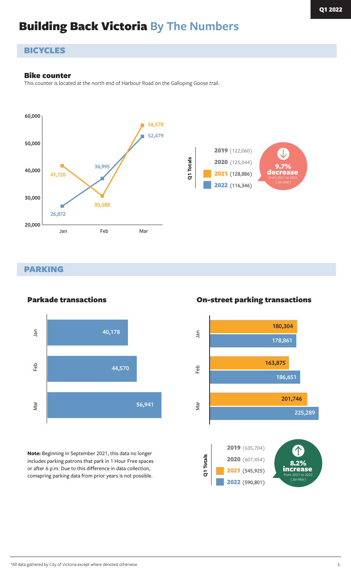## **BICYCLES**

### Bike counter

This counter is located at the north end of Harbour Road on the Galloping Goose trail.



### PARKING



Parkade transactions

**Note:** Beginning in September 2021, this data no longer includes parking patrons that park in 1 Hour Free spaces or after 6 p.m. Due to this difference in data collection, comapring parking data from prior years is not possible.

### On-street parking transactions

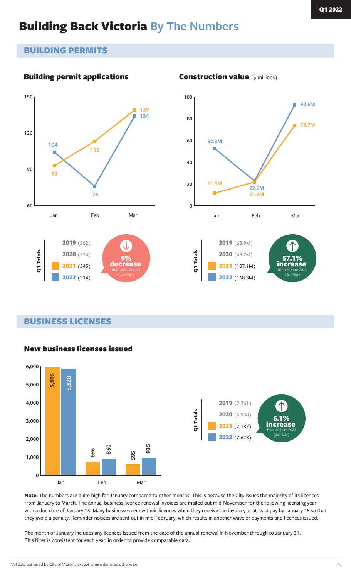## BUILDING PERMITS

## Building permit applications





2021 (107.1M) 2022 (168.3M)

increase from 2021 to 2022 (Jan-Mar)

BUSINESS LICENSES



## New business licenses issued

**Note:** The numbers are quite high for January compared to other months. This is because the City issues the majority of its licences from January to March. The annual business licence renewal invoices are mailed out mid-November for the following licensing year, with a due date of January 15. Many businesses renew their licences when they receive the invoice, or at least pay by January 15 so that they avoid a penalty. Reminder notices are sent out in mid-February, which results in another wave of payments and licences issued.

The month of January includes any licences issued from the date of the annual renewal in November through to January 31. This filter is consistent for each year, in order to provide comparable data.

### Construction value (\$ millions)